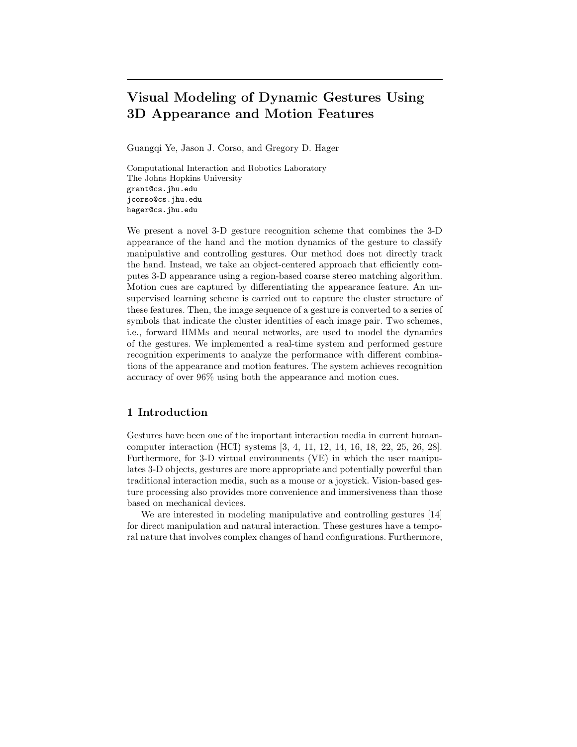# Visual Modeling of Dynamic Gestures Using 3D Appearance and Motion Features

Guangqi Ye, Jason J. Corso, and Gregory D. Hager

Computational Interaction and Robotics Laboratory The Johns Hopkins University grant@cs.jhu.edu jcorso@cs.jhu.edu hager@cs.jhu.edu

We present a novel 3-D gesture recognition scheme that combines the 3-D appearance of the hand and the motion dynamics of the gesture to classify manipulative and controlling gestures. Our method does not directly track the hand. Instead, we take an object-centered approach that efficiently computes 3-D appearance using a region-based coarse stereo matching algorithm. Motion cues are captured by differentiating the appearance feature. An unsupervised learning scheme is carried out to capture the cluster structure of these features. Then, the image sequence of a gesture is converted to a series of symbols that indicate the cluster identities of each image pair. Two schemes, i.e., forward HMMs and neural networks, are used to model the dynamics of the gestures. We implemented a real-time system and performed gesture recognition experiments to analyze the performance with different combinations of the appearance and motion features. The system achieves recognition accuracy of over 96% using both the appearance and motion cues.

# 1 Introduction

Gestures have been one of the important interaction media in current humancomputer interaction (HCI) systems [3, 4, 11, 12, 14, 16, 18, 22, 25, 26, 28]. Furthermore, for 3-D virtual environments (VE) in which the user manipulates 3-D objects, gestures are more appropriate and potentially powerful than traditional interaction media, such as a mouse or a joystick. Vision-based gesture processing also provides more convenience and immersiveness than those based on mechanical devices.

We are interested in modeling manipulative and controlling gestures [14] for direct manipulation and natural interaction. These gestures have a temporal nature that involves complex changes of hand configurations. Furthermore,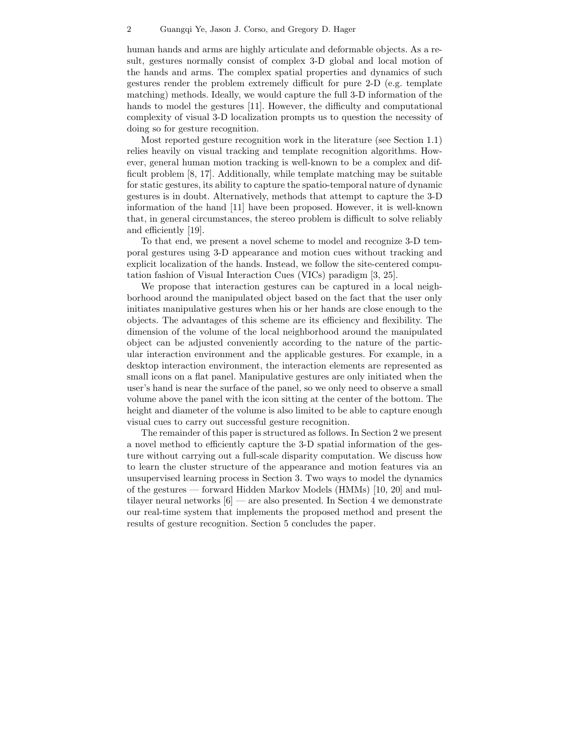human hands and arms are highly articulate and deformable objects. As a result, gestures normally consist of complex 3-D global and local motion of the hands and arms. The complex spatial properties and dynamics of such gestures render the problem extremely difficult for pure 2-D (e.g. template matching) methods. Ideally, we would capture the full 3-D information of the hands to model the gestures [11]. However, the difficulty and computational complexity of visual 3-D localization prompts us to question the necessity of doing so for gesture recognition.

Most reported gesture recognition work in the literature (see Section 1.1) relies heavily on visual tracking and template recognition algorithms. However, general human motion tracking is well-known to be a complex and difficult problem [8, 17]. Additionally, while template matching may be suitable for static gestures, its ability to capture the spatio-temporal nature of dynamic gestures is in doubt. Alternatively, methods that attempt to capture the 3-D information of the hand [11] have been proposed. However, it is well-known that, in general circumstances, the stereo problem is difficult to solve reliably and efficiently [19].

To that end, we present a novel scheme to model and recognize 3-D temporal gestures using 3-D appearance and motion cues without tracking and explicit localization of the hands. Instead, we follow the site-centered computation fashion of Visual Interaction Cues (VICs) paradigm [3, 25].

We propose that interaction gestures can be captured in a local neighborhood around the manipulated object based on the fact that the user only initiates manipulative gestures when his or her hands are close enough to the objects. The advantages of this scheme are its efficiency and flexibility. The dimension of the volume of the local neighborhood around the manipulated object can be adjusted conveniently according to the nature of the particular interaction environment and the applicable gestures. For example, in a desktop interaction environment, the interaction elements are represented as small icons on a flat panel. Manipulative gestures are only initiated when the user's hand is near the surface of the panel, so we only need to observe a small volume above the panel with the icon sitting at the center of the bottom. The height and diameter of the volume is also limited to be able to capture enough visual cues to carry out successful gesture recognition.

The remainder of this paper is structured as follows. In Section 2 we present a novel method to efficiently capture the 3-D spatial information of the gesture without carrying out a full-scale disparity computation. We discuss how to learn the cluster structure of the appearance and motion features via an unsupervised learning process in Section 3. Two ways to model the dynamics of the gestures — forward Hidden Markov Models (HMMs) [10, 20] and multilayer neural networks  $[6]$  — are also presented. In Section 4 we demonstrate our real-time system that implements the proposed method and present the results of gesture recognition. Section 5 concludes the paper.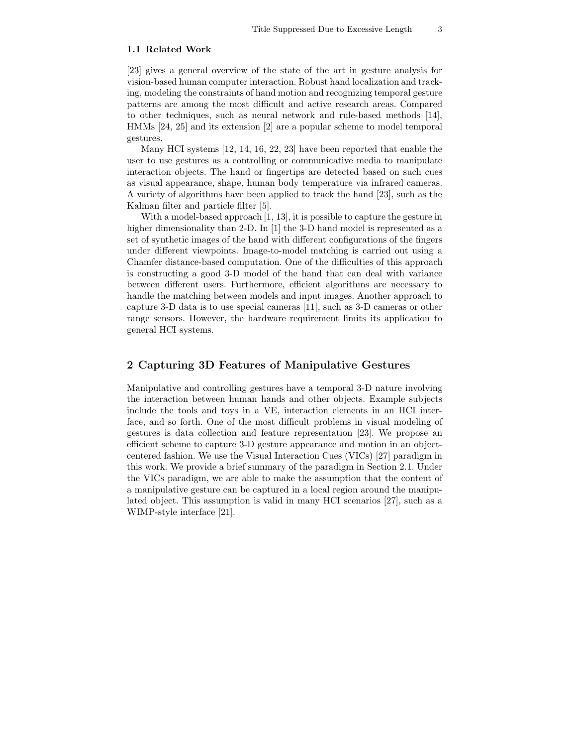#### 1.1 Related Work

[23] gives a general overview of the state of the art in gesture analysis for vision-based human computer interaction. Robust hand localization and tracking, modeling the constraints of hand motion and recognizing temporal gesture patterns are among the most difficult and active research areas. Compared to other techniques, such as neural network and rule-based methods [14], HMMs [24, 25] and its extension [2] are a popular scheme to model temporal gestures.

Many HCI systems [12, 14, 16, 22, 23] have been reported that enable the user to use gestures as a controlling or communicative media to manipulate interaction objects. The hand or fingertips are detected based on such cues as visual appearance, shape, human body temperature via infrared cameras. A variety of algorithms have been applied to track the hand [23], such as the Kalman filter and particle filter [5].

With a model-based approach [1, 13], it is possible to capture the gesture in higher dimensionality than 2-D. In [1] the 3-D hand model is represented as a set of synthetic images of the hand with different configurations of the fingers under different viewpoints. Image-to-model matching is carried out using a Chamfer distance-based computation. One of the difficulties of this approach is constructing a good 3-D model of the hand that can deal with variance between different users. Furthermore, efficient algorithms are necessary to handle the matching between models and input images. Another approach to capture 3-D data is to use special cameras [11], such as 3-D cameras or other range sensors. However, the hardware requirement limits its application to general HCI systems.

# 2 Capturing 3D Features of Manipulative Gestures

Manipulative and controlling gestures have a temporal 3-D nature involving the interaction between human hands and other objects. Example subjects include the tools and toys in a VE, interaction elements in an HCI interface, and so forth. One of the most difficult problems in visual modeling of gestures is data collection and feature representation [23]. We propose an efficient scheme to capture 3-D gesture appearance and motion in an objectcentered fashion. We use the Visual Interaction Cues (VICs) [27] paradigm in this work. We provide a brief summary of the paradigm in Section 2.1. Under the VICs paradigm, we are able to make the assumption that the content of a manipulative gesture can be captured in a local region around the manipulated object. This assumption is valid in many HCI scenarios [27], such as a WIMP-style interface [21].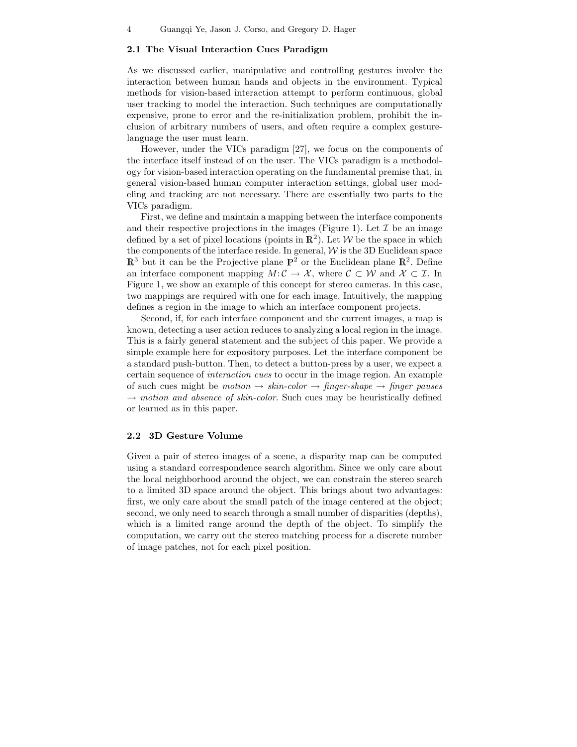### 2.1 The Visual Interaction Cues Paradigm

As we discussed earlier, manipulative and controlling gestures involve the interaction between human hands and objects in the environment. Typical methods for vision-based interaction attempt to perform continuous, global user tracking to model the interaction. Such techniques are computationally expensive, prone to error and the re-initialization problem, prohibit the inclusion of arbitrary numbers of users, and often require a complex gesturelanguage the user must learn.

However, under the VICs paradigm [27], we focus on the components of the interface itself instead of on the user. The VICs paradigm is a methodology for vision-based interaction operating on the fundamental premise that, in general vision-based human computer interaction settings, global user modeling and tracking are not necessary. There are essentially two parts to the VICs paradigm.

First, we define and maintain a mapping between the interface components and their respective projections in the images (Figure 1). Let  $\mathcal I$  be an image defined by a set of pixel locations (points in  $\mathbb{R}^2$ ). Let W be the space in which the components of the interface reside. In general,  $W$  is the 3D Euclidean space  $\mathbb{R}^3$  but it can be the Projective plane  $\mathbb{P}^2$  or the Euclidean plane  $\mathbb{R}^2$ . Define an interface component mapping  $M: \mathcal{C} \to \mathcal{X}$ , where  $\mathcal{C} \subset \mathcal{W}$  and  $\mathcal{X} \subset \mathcal{I}$ . In Figure 1, we show an example of this concept for stereo cameras. In this case, two mappings are required with one for each image. Intuitively, the mapping defines a region in the image to which an interface component projects.

Second, if, for each interface component and the current images, a map is known, detecting a user action reduces to analyzing a local region in the image. This is a fairly general statement and the subject of this paper. We provide a simple example here for expository purposes. Let the interface component be a standard push-button. Then, to detect a button-press by a user, we expect a certain sequence of interaction cues to occur in the image region. An example of such cues might be motion  $\rightarrow$  skin-color  $\rightarrow$  finger-shape  $\rightarrow$  finger pauses  $\rightarrow$  motion and absence of skin-color. Such cues may be heuristically defined or learned as in this paper.

## 2.2 3D Gesture Volume

Given a pair of stereo images of a scene, a disparity map can be computed using a standard correspondence search algorithm. Since we only care about the local neighborhood around the object, we can constrain the stereo search to a limited 3D space around the object. This brings about two advantages: first, we only care about the small patch of the image centered at the object; second, we only need to search through a small number of disparities (depths), which is a limited range around the depth of the object. To simplify the computation, we carry out the stereo matching process for a discrete number of image patches, not for each pixel position.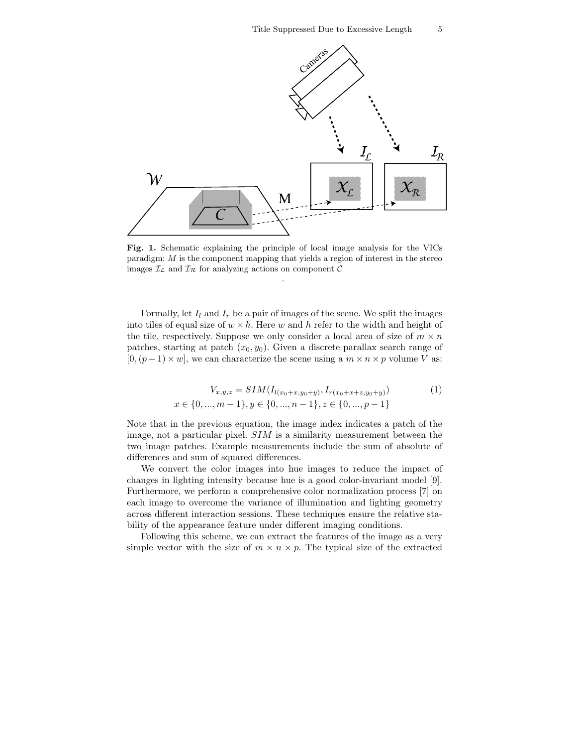

Fig. 1. Schematic explaining the principle of local image analysis for the VICs paradigm: M is the component mapping that yields a region of interest in the stereo images  $\mathcal{I}_{\mathcal{L}}$  and  $\mathcal{I}_{\mathcal{R}}$  for analyzing actions on component  $\mathcal{C}$ 

.

Formally, let  $I_l$  and  $I_r$  be a pair of images of the scene. We split the images into tiles of equal size of  $w \times h$ . Here w and h refer to the width and height of the tile, respectively. Suppose we only consider a local area of size of  $m \times n$ patches, starting at patch  $(x_0, y_0)$ . Given a discrete parallax search range of  $[0,(p-1)\times w]$ , we can characterize the scene using a  $m \times n \times p$  volume V as:

$$
V_{x,y,z} = SIM(I_{l(x_0+x,y_0+y)}, I_{r(x_0+x+z,y_0+y)})
$$
(1)  

$$
x \in \{0, ..., m-1\}, y \in \{0, ..., n-1\}, z \in \{0, ..., p-1\}
$$

Note that in the previous equation, the image index indicates a patch of the image, not a particular pixel. SIM is a similarity measurement between the two image patches. Example measurements include the sum of absolute of differences and sum of squared differences.

We convert the color images into hue images to reduce the impact of changes in lighting intensity because hue is a good color-invariant model [9]. Furthermore, we perform a comprehensive color normalization process [7] on each image to overcome the variance of illumination and lighting geometry across different interaction sessions. These techniques ensure the relative stability of the appearance feature under different imaging conditions.

Following this scheme, we can extract the features of the image as a very simple vector with the size of  $m \times n \times p$ . The typical size of the extracted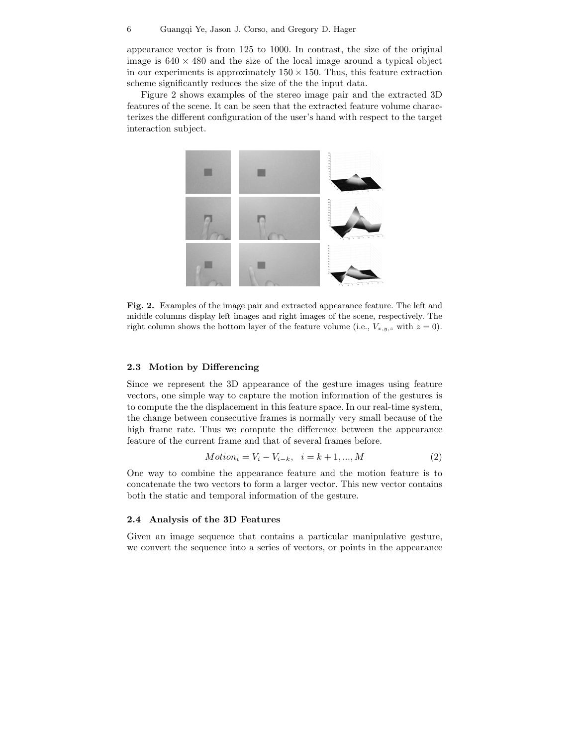appearance vector is from 125 to 1000. In contrast, the size of the original image is  $640 \times 480$  and the size of the local image around a typical object in our experiments is approximately  $150 \times 150$ . Thus, this feature extraction scheme significantly reduces the size of the the input data.

Figure 2 shows examples of the stereo image pair and the extracted 3D features of the scene. It can be seen that the extracted feature volume characterizes the different configuration of the user's hand with respect to the target interaction subject.



Fig. 2. Examples of the image pair and extracted appearance feature. The left and middle columns display left images and right images of the scene, respectively. The right column shows the bottom layer of the feature volume (i.e.,  $V_{x,y,z}$  with  $z = 0$ ).

# 2.3 Motion by Differencing

Since we represent the 3D appearance of the gesture images using feature vectors, one simple way to capture the motion information of the gestures is to compute the the displacement in this feature space. In our real-time system, the change between consecutive frames is normally very small because of the high frame rate. Thus we compute the difference between the appearance feature of the current frame and that of several frames before.

$$
Motion_i = V_i - V_{i-k}, \quad i = k+1, ..., M
$$
\n(2)

One way to combine the appearance feature and the motion feature is to concatenate the two vectors to form a larger vector. This new vector contains both the static and temporal information of the gesture.

#### 2.4 Analysis of the 3D Features

Given an image sequence that contains a particular manipulative gesture, we convert the sequence into a series of vectors, or points in the appearance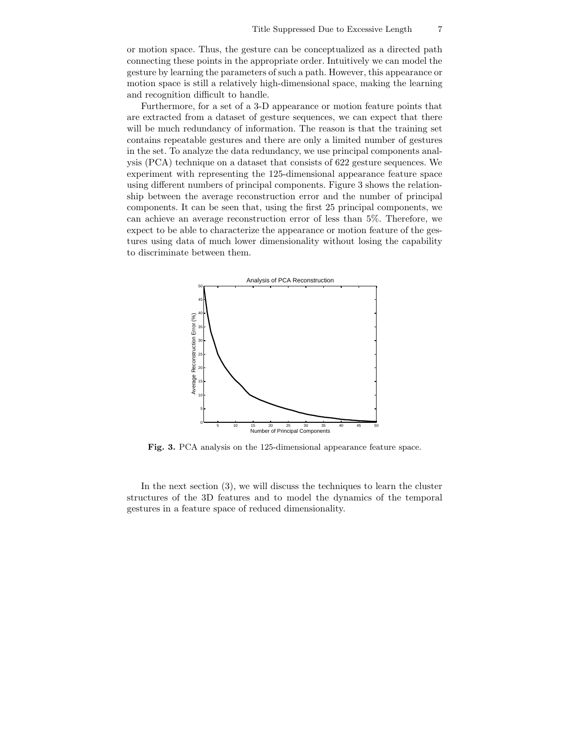or motion space. Thus, the gesture can be conceptualized as a directed path connecting these points in the appropriate order. Intuitively we can model the gesture by learning the parameters of such a path. However, this appearance or motion space is still a relatively high-dimensional space, making the learning and recognition difficult to handle.

Furthermore, for a set of a 3-D appearance or motion feature points that are extracted from a dataset of gesture sequences, we can expect that there will be much redundancy of information. The reason is that the training set contains repeatable gestures and there are only a limited number of gestures in the set. To analyze the data redundancy, we use principal components analysis (PCA) technique on a dataset that consists of 622 gesture sequences. We experiment with representing the 125-dimensional appearance feature space using different numbers of principal components. Figure 3 shows the relationship between the average reconstruction error and the number of principal components. It can be seen that, using the first 25 principal components, we can achieve an average reconstruction error of less than 5%. Therefore, we expect to be able to characterize the appearance or motion feature of the gestures using data of much lower dimensionality without losing the capability to discriminate between them.



Fig. 3. PCA analysis on the 125-dimensional appearance feature space.

In the next section (3), we will discuss the techniques to learn the cluster structures of the 3D features and to model the dynamics of the temporal gestures in a feature space of reduced dimensionality.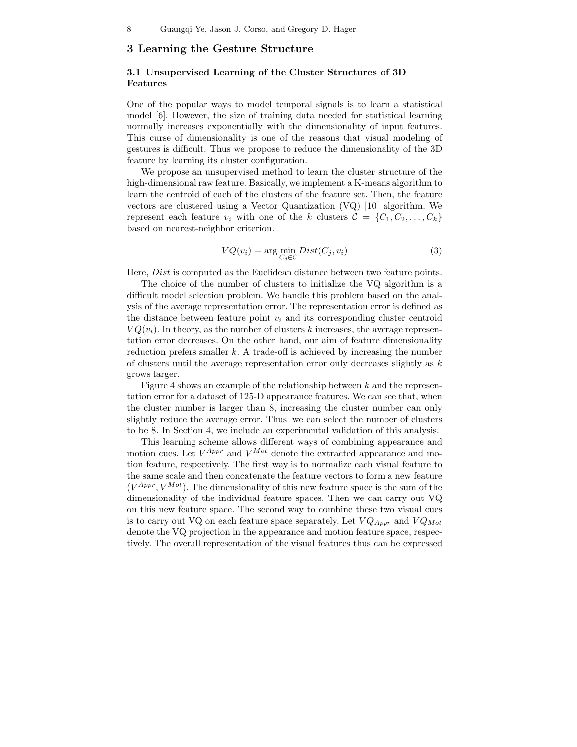# 3 Learning the Gesture Structure

# 3.1 Unsupervised Learning of the Cluster Structures of 3D Features

One of the popular ways to model temporal signals is to learn a statistical model [6]. However, the size of training data needed for statistical learning normally increases exponentially with the dimensionality of input features. This curse of dimensionality is one of the reasons that visual modeling of gestures is difficult. Thus we propose to reduce the dimensionality of the 3D feature by learning its cluster configuration.

We propose an unsupervised method to learn the cluster structure of the high-dimensional raw feature. Basically, we implement a K-means algorithm to learn the centroid of each of the clusters of the feature set. Then, the feature vectors are clustered using a Vector Quantization (VQ) [10] algorithm. We represent each feature  $v_i$  with one of the k clusters  $\mathcal{C} = \{C_1, C_2, \ldots, C_k\}$ based on nearest-neighbor criterion.

$$
VQ(v_i) = \arg\min_{C_j \in \mathcal{C}} Dist(C_j, v_i)
$$
\n(3)

Here, Dist is computed as the Euclidean distance between two feature points.

The choice of the number of clusters to initialize the VQ algorithm is a difficult model selection problem. We handle this problem based on the analysis of the average representation error. The representation error is defined as the distance between feature point  $v_i$  and its corresponding cluster centroid  $VQ(v_i)$ . In theory, as the number of clusters k increases, the average representation error decreases. On the other hand, our aim of feature dimensionality reduction prefers smaller  $k$ . A trade-off is achieved by increasing the number of clusters until the average representation error only decreases slightly as  $k$ grows larger.

Figure 4 shows an example of the relationship between  $k$  and the representation error for a dataset of 125-D appearance features. We can see that, when the cluster number is larger than 8, increasing the cluster number can only slightly reduce the average error. Thus, we can select the number of clusters to be 8. In Section 4, we include an experimental validation of this analysis.

This learning scheme allows different ways of combining appearance and motion cues. Let  $V^{Appr}$  and  $V^{Mot}$  denote the extracted appearance and motion feature, respectively. The first way is to normalize each visual feature to the same scale and then concatenate the feature vectors to form a new feature  $(V^{Appr}, V^{Mot})$ . The dimensionality of this new feature space is the sum of the dimensionality of the individual feature spaces. Then we can carry out VQ on this new feature space. The second way to combine these two visual cues is to carry out VQ on each feature space separately. Let  $VQ_{Appr}$  and  $VQ_{Mot}$ denote the VQ projection in the appearance and motion feature space, respectively. The overall representation of the visual features thus can be expressed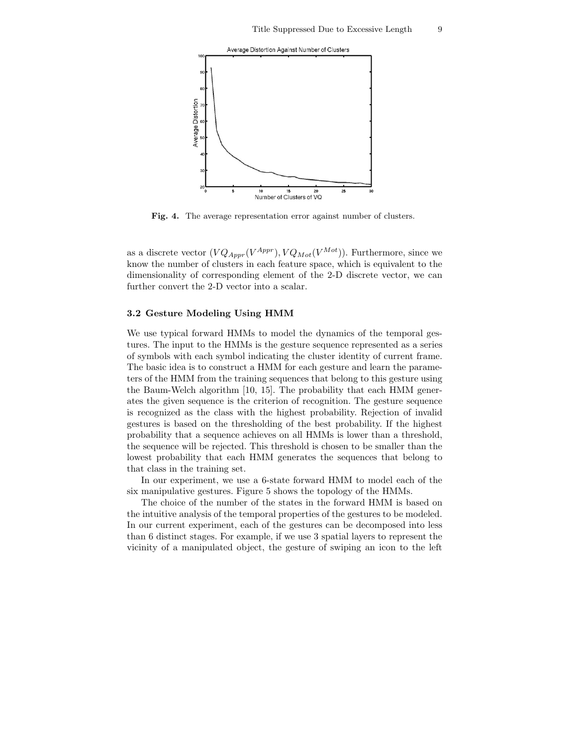

Fig. 4. The average representation error against number of clusters.

as a discrete vector  $(VQ_{Appr}(V^{Appr}), VQ_{Mot}(V^{Mot}))$ . Furthermore, since we know the number of clusters in each feature space, which is equivalent to the dimensionality of corresponding element of the 2-D discrete vector, we can further convert the 2-D vector into a scalar.

#### 3.2 Gesture Modeling Using HMM

We use typical forward HMMs to model the dynamics of the temporal gestures. The input to the HMMs is the gesture sequence represented as a series of symbols with each symbol indicating the cluster identity of current frame. The basic idea is to construct a HMM for each gesture and learn the parameters of the HMM from the training sequences that belong to this gesture using the Baum-Welch algorithm [10, 15]. The probability that each HMM generates the given sequence is the criterion of recognition. The gesture sequence is recognized as the class with the highest probability. Rejection of invalid gestures is based on the thresholding of the best probability. If the highest probability that a sequence achieves on all HMMs is lower than a threshold, the sequence will be rejected. This threshold is chosen to be smaller than the lowest probability that each HMM generates the sequences that belong to that class in the training set.

In our experiment, we use a 6-state forward HMM to model each of the six manipulative gestures. Figure 5 shows the topology of the HMMs.

The choice of the number of the states in the forward HMM is based on the intuitive analysis of the temporal properties of the gestures to be modeled. In our current experiment, each of the gestures can be decomposed into less than 6 distinct stages. For example, if we use 3 spatial layers to represent the vicinity of a manipulated object, the gesture of swiping an icon to the left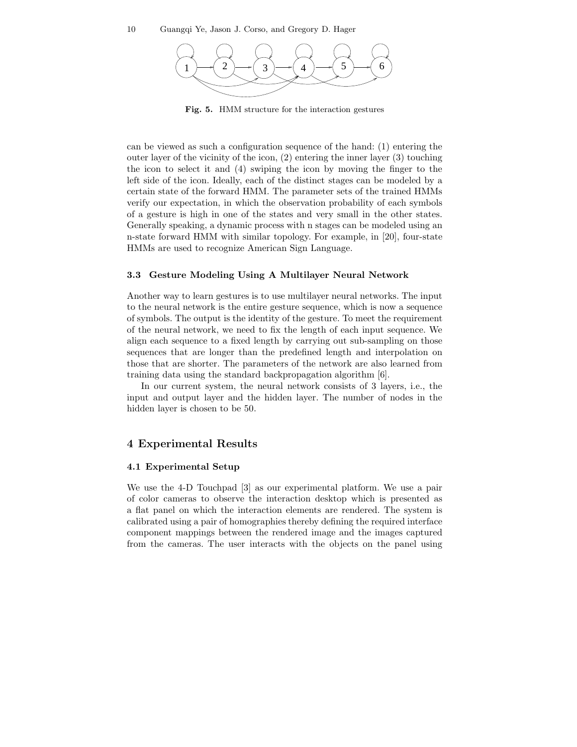

Fig. 5. HMM structure for the interaction gestures

can be viewed as such a configuration sequence of the hand: (1) entering the outer layer of the vicinity of the icon, (2) entering the inner layer (3) touching the icon to select it and (4) swiping the icon by moving the finger to the left side of the icon. Ideally, each of the distinct stages can be modeled by a certain state of the forward HMM. The parameter sets of the trained HMMs verify our expectation, in which the observation probability of each symbols of a gesture is high in one of the states and very small in the other states. Generally speaking, a dynamic process with n stages can be modeled using an n-state forward HMM with similar topology. For example, in [20], four-state HMMs are used to recognize American Sign Language.

## 3.3 Gesture Modeling Using A Multilayer Neural Network

Another way to learn gestures is to use multilayer neural networks. The input to the neural network is the entire gesture sequence, which is now a sequence of symbols. The output is the identity of the gesture. To meet the requirement of the neural network, we need to fix the length of each input sequence. We align each sequence to a fixed length by carrying out sub-sampling on those sequences that are longer than the predefined length and interpolation on those that are shorter. The parameters of the network are also learned from training data using the standard backpropagation algorithm [6].

In our current system, the neural network consists of 3 layers, i.e., the input and output layer and the hidden layer. The number of nodes in the hidden layer is chosen to be 50.

# 4 Experimental Results

# 4.1 Experimental Setup

We use the 4-D Touchpad [3] as our experimental platform. We use a pair of color cameras to observe the interaction desktop which is presented as a flat panel on which the interaction elements are rendered. The system is calibrated using a pair of homographies thereby defining the required interface component mappings between the rendered image and the images captured from the cameras. The user interacts with the objects on the panel using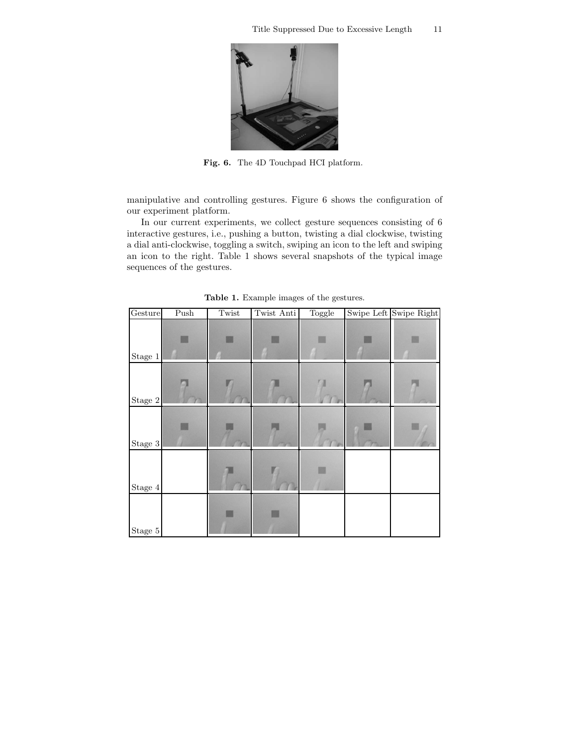

Fig. 6. The 4D Touchpad HCI platform.

manipulative and controlling gestures. Figure 6 shows the configuration of our experiment platform.

In our current experiments, we collect gesture sequences consisting of 6 interactive gestures, i.e., pushing a button, twisting a dial clockwise, twisting a dial anti-clockwise, toggling a switch, swiping an icon to the left and swiping an icon to the right. Table 1 shows several snapshots of the typical image sequences of the gestures.

| Gesture     | Push | Twist | Twist Anti | Toggle | Swipe Left Swipe Right |
|-------------|------|-------|------------|--------|------------------------|
| Stage 1     |      |       |            |        |                        |
| Stage $2\,$ |      |       |            |        |                        |
| Stage $3\,$ |      |       |            |        |                        |
| Stage $4$   |      |       |            |        |                        |
| Stage $5\,$ |      |       |            |        |                        |

Table 1. Example images of the gestures.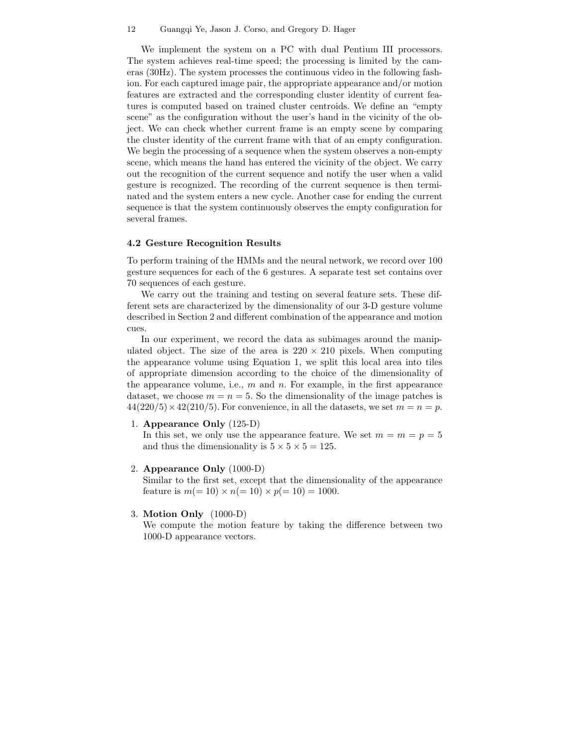#### 12 Guangqi Ye, Jason J. Corso, and Gregory D. Hager

We implement the system on a PC with dual Pentium III processors. The system achieves real-time speed; the processing is limited by the cameras (30Hz). The system processes the continuous video in the following fashion. For each captured image pair, the appropriate appearance and/or motion features are extracted and the corresponding cluster identity of current features is computed based on trained cluster centroids. We define an "empty scene" as the configuration without the user's hand in the vicinity of the object. We can check whether current frame is an empty scene by comparing the cluster identity of the current frame with that of an empty configuration. We begin the processing of a sequence when the system observes a non-empty scene, which means the hand has entered the vicinity of the object. We carry out the recognition of the current sequence and notify the user when a valid gesture is recognized. The recording of the current sequence is then terminated and the system enters a new cycle. Another case for ending the current sequence is that the system continuously observes the empty configuration for several frames.

#### 4.2 Gesture Recognition Results

To perform training of the HMMs and the neural network, we record over 100 gesture sequences for each of the 6 gestures. A separate test set contains over 70 sequences of each gesture.

We carry out the training and testing on several feature sets. These different sets are characterized by the dimensionality of our 3-D gesture volume described in Section 2 and different combination of the appearance and motion cues.

In our experiment, we record the data as subimages around the manipulated object. The size of the area is  $220 \times 210$  pixels. When computing the appearance volume using Equation 1, we split this local area into tiles of appropriate dimension according to the choice of the dimensionality of the appearance volume, i.e.,  $m$  and  $n$ . For example, in the first appearance dataset, we choose  $m = n = 5$ . So the dimensionality of the image patches is  $44(220/5) \times 42(210/5)$ . For convenience, in all the datasets, we set  $m = n = p$ .

1. Appearance Only (125-D)

In this set, we only use the appearance feature. We set  $m = m = p = 5$ and thus the dimensionality is  $5 \times 5 \times 5 = 125$ .

2. Appearance Only (1000-D)

Similar to the first set, except that the dimensionality of the appearance feature is  $m(= 10) \times n(= 10) \times p(= 10) = 1000$ .

3. Motion Only (1000-D)

We compute the motion feature by taking the difference between two 1000-D appearance vectors.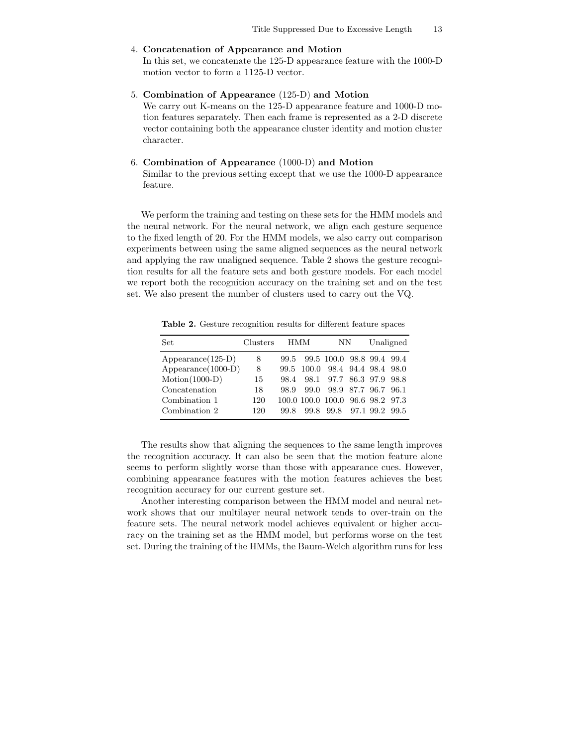## 4. Concatenation of Appearance and Motion

In this set, we concatenate the 125-D appearance feature with the 1000-D motion vector to form a 1125-D vector.

## 5. Combination of Appearance (125-D) and Motion

We carry out K-means on the 125-D appearance feature and 1000-D motion features separately. Then each frame is represented as a 2-D discrete vector containing both the appearance cluster identity and motion cluster character.

# 6. Combination of Appearance (1000-D) and Motion

Similar to the previous setting except that we use the 1000-D appearance feature.

We perform the training and testing on these sets for the HMM models and the neural network. For the neural network, we align each gesture sequence to the fixed length of 20. For the HMM models, we also carry out comparison experiments between using the same aligned sequences as the neural network and applying the raw unaligned sequence. Table 2 shows the gesture recognition results for all the feature sets and both gesture models. For each model we report both the recognition accuracy on the training set and on the test set. We also present the number of clusters used to carry out the VQ.

Table 2. Gesture recognition results for different feature spaces

| Set                  | Clusters |      | HMM  | NΝ                               |                | Unaligned |
|----------------------|----------|------|------|----------------------------------|----------------|-----------|
| $Appearance(125-D)$  | 8        | 99.5 |      | 99.5 100.0 98.8 99.4 99.4        |                |           |
| $Appearance(1000-D)$ | 8        | 99.5 |      | 100.0 98.4 94.4 98.4 98.0        |                |           |
| $Motion(1000-D)$     | 15       | 98.4 |      | 98.1 97.7 86.3 97.9 98.8         |                |           |
| Concatenation        | 18       | 98.9 | 99.0 |                                  | 98.9 87.7 96.7 | 96.1      |
| Combination 1        | 120      |      |      | 100.0 100.0 100.0 96.6 98.2 97.3 |                |           |
| Combination 2        | 120      | 99.8 | 99.8 | 99.8                             | 97.1 99.2      | -99.5     |

The results show that aligning the sequences to the same length improves the recognition accuracy. It can also be seen that the motion feature alone seems to perform slightly worse than those with appearance cues. However, combining appearance features with the motion features achieves the best recognition accuracy for our current gesture set.

Another interesting comparison between the HMM model and neural network shows that our multilayer neural network tends to over-train on the feature sets. The neural network model achieves equivalent or higher accuracy on the training set as the HMM model, but performs worse on the test set. During the training of the HMMs, the Baum-Welch algorithm runs for less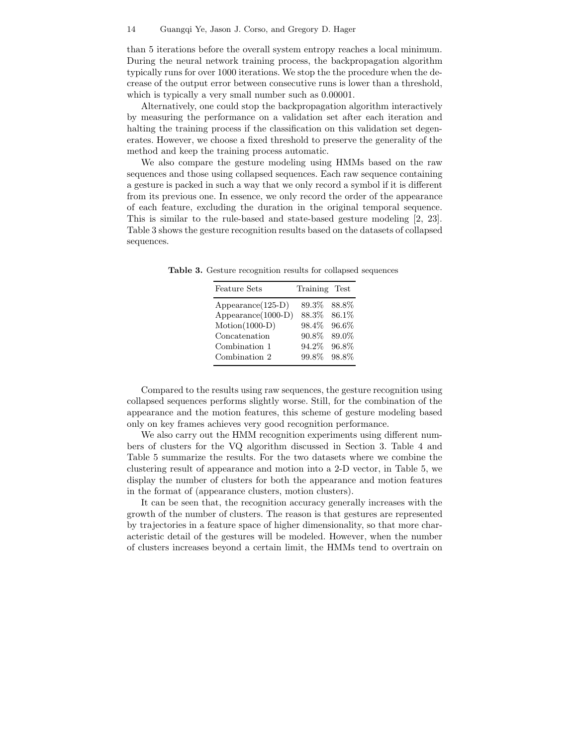than 5 iterations before the overall system entropy reaches a local minimum. During the neural network training process, the backpropagation algorithm typically runs for over 1000 iterations. We stop the the procedure when the decrease of the output error between consecutive runs is lower than a threshold, which is typically a very small number such as  $0.00001$ .

Alternatively, one could stop the backpropagation algorithm interactively by measuring the performance on a validation set after each iteration and halting the training process if the classification on this validation set degenerates. However, we choose a fixed threshold to preserve the generality of the method and keep the training process automatic.

We also compare the gesture modeling using HMMs based on the raw sequences and those using collapsed sequences. Each raw sequence containing a gesture is packed in such a way that we only record a symbol if it is different from its previous one. In essence, we only record the order of the appearance of each feature, excluding the duration in the original temporal sequence. This is similar to the rule-based and state-based gesture modeling [2, 23]. Table 3 shows the gesture recognition results based on the datasets of collapsed sequences.

| <b>Feature Sets</b>        | Training Test    |  |
|----------------------------|------------------|--|
| $\text{Appearance}(125-D)$ | 89.3%<br>- 88.8% |  |
| Appearance(1000-D)         | 88.3%<br>86.1\%  |  |
| $Motion(1000-D)$           | 98.4\% 96.6\%    |  |
| Concatenation              | 89.0%<br>90.8%   |  |
| Combination 1              | 96.8%<br>94.2%   |  |
| Combination 2              | 98.8%<br>99.8%   |  |

Table 3. Gesture recognition results for collapsed sequences

Compared to the results using raw sequences, the gesture recognition using collapsed sequences performs slightly worse. Still, for the combination of the appearance and the motion features, this scheme of gesture modeling based only on key frames achieves very good recognition performance.

We also carry out the HMM recognition experiments using different numbers of clusters for the VQ algorithm discussed in Section 3. Table 4 and Table 5 summarize the results. For the two datasets where we combine the clustering result of appearance and motion into a 2-D vector, in Table 5, we display the number of clusters for both the appearance and motion features in the format of (appearance clusters, motion clusters).

It can be seen that, the recognition accuracy generally increases with the growth of the number of clusters. The reason is that gestures are represented by trajectories in a feature space of higher dimensionality, so that more characteristic detail of the gestures will be modeled. However, when the number of clusters increases beyond a certain limit, the HMMs tend to overtrain on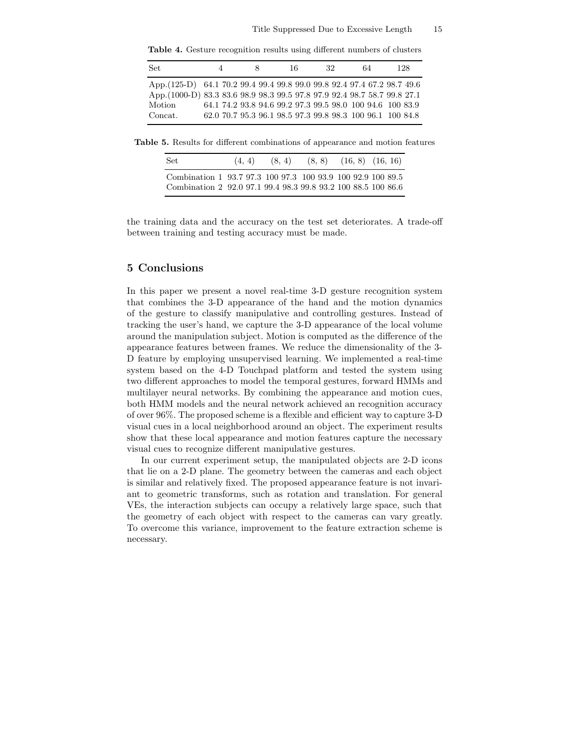Table 4. Gesture recognition results using different numbers of clusters

| Set.                                                                                                                                                                      | 4 | 16 | 32                                                                                                                     | 64 | 128 |
|---------------------------------------------------------------------------------------------------------------------------------------------------------------------------|---|----|------------------------------------------------------------------------------------------------------------------------|----|-----|
| App. (125-D) 64.1 70.2 99.4 99.4 99.8 99.0 99.8 92.4 97.4 67.2 98.7 49.6<br>App.(1000-D) 83.3 83.6 98.9 98.3 99.5 97.8 97.9 92.4 98.7 58.7 99.8 27.1<br>Motion<br>Concat. |   |    | 64.1 74.2 93.8 94.6 99.2 97.3 99.5 98.0 100 94.6 100 83.9<br>62.0 70.7 95.3 96.1 98.5 97.3 99.8 98.3 100 96.1 100 84.8 |    |     |

Table 5. Results for different combinations of appearance and motion features

| Combination 1 93.7 97.3 100 97.3 100 93.9 100 92.9 100 89.5   |  |  |
|---------------------------------------------------------------|--|--|
| Combination 2 92.0 97.1 99.4 98.3 99.8 93.2 100 88.5 100 86.6 |  |  |

the training data and the accuracy on the test set deteriorates. A trade-off between training and testing accuracy must be made.

# 5 Conclusions

In this paper we present a novel real-time 3-D gesture recognition system that combines the 3-D appearance of the hand and the motion dynamics of the gesture to classify manipulative and controlling gestures. Instead of tracking the user's hand, we capture the 3-D appearance of the local volume around the manipulation subject. Motion is computed as the difference of the appearance features between frames. We reduce the dimensionality of the 3- D feature by employing unsupervised learning. We implemented a real-time system based on the 4-D Touchpad platform and tested the system using two different approaches to model the temporal gestures, forward HMMs and multilayer neural networks. By combining the appearance and motion cues, both HMM models and the neural network achieved an recognition accuracy of over 96%. The proposed scheme is a flexible and efficient way to capture 3-D visual cues in a local neighborhood around an object. The experiment results show that these local appearance and motion features capture the necessary visual cues to recognize different manipulative gestures.

In our current experiment setup, the manipulated objects are 2-D icons that lie on a 2-D plane. The geometry between the cameras and each object is similar and relatively fixed. The proposed appearance feature is not invariant to geometric transforms, such as rotation and translation. For general VEs, the interaction subjects can occupy a relatively large space, such that the geometry of each object with respect to the cameras can vary greatly. To overcome this variance, improvement to the feature extraction scheme is necessary.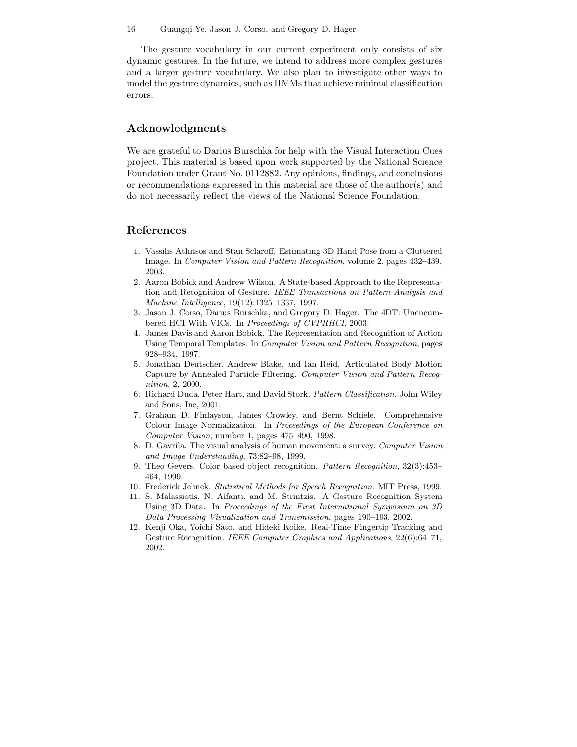#### 16 Guangqi Ye, Jason J. Corso, and Gregory D. Hager

The gesture vocabulary in our current experiment only consists of six dynamic gestures. In the future, we intend to address more complex gestures and a larger gesture vocabulary. We also plan to investigate other ways to model the gesture dynamics, such as HMMs that achieve minimal classification errors.

# Acknowledgments

We are grateful to Darius Burschka for help with the Visual Interaction Cues project. This material is based upon work supported by the National Science Foundation under Grant No. 0112882. Any opinions, findings, and conclusions or recommendations expressed in this material are those of the author(s) and do not necessarily reflect the views of the National Science Foundation.

# References

- 1. Vassilis Athitsos and Stan Sclaroff. Estimating 3D Hand Pose from a Cluttered Image. In Computer Vision and Pattern Recognition, volume 2, pages 432–439, 2003.
- 2. Aaron Bobick and Andrew Wilson. A State-based Approach to the Representation and Recognition of Gesture. IEEE Transactions on Pattern Analysis and Machine Intelligence, 19(12):1325–1337, 1997.
- 3. Jason J. Corso, Darius Burschka, and Gregory D. Hager. The 4DT: Unencumbered HCI With VICs. In Proceedings of CVPRHCI, 2003.
- 4. James Davis and Aaron Bobick. The Representation and Recognition of Action Using Temporal Templates. In *Computer Vision and Pattern Recognition*, pages 928–934, 1997.
- 5. Jonathan Deutscher, Andrew Blake, and Ian Reid. Articulated Body Motion Capture by Annealed Particle Filtering. Computer Vision and Pattern Recognition, 2, 2000.
- 6. Richard Duda, Peter Hart, and David Stork. Pattern Classification. John Wiley and Sons, Inc, 2001.
- 7. Graham D. Finlayson, James Crowley, and Bernt Schiele. Comprehensive Colour Image Normalization. In Proceedings of the European Conference on Computer Vision, number 1, pages 475–490, 1998.
- 8. D. Gavrila. The visual analysis of human movement: a survey. Computer Vision and Image Understanding, 73:82–98, 1999.
- 9. Theo Gevers. Color based object recognition. Pattern Recognition, 32(3):453– 464, 1999.
- 10. Frederick Jelinek. Statistical Methods for Speech Recognition. MIT Press, 1999.
- 11. S. Malassiotis, N. Aifanti, and M. Strintzis. A Gesture Recognition System Using 3D Data. In Proceedings of the First International Symposium on 3D Data Processing Visualization and Transmission, pages 190–193, 2002.
- 12. Kenji Oka, Yoichi Sato, and Hideki Koike. Real-Time Fingertip Tracking and Gesture Recognition. IEEE Computer Graphics and Applications, 22(6):64–71, 2002.